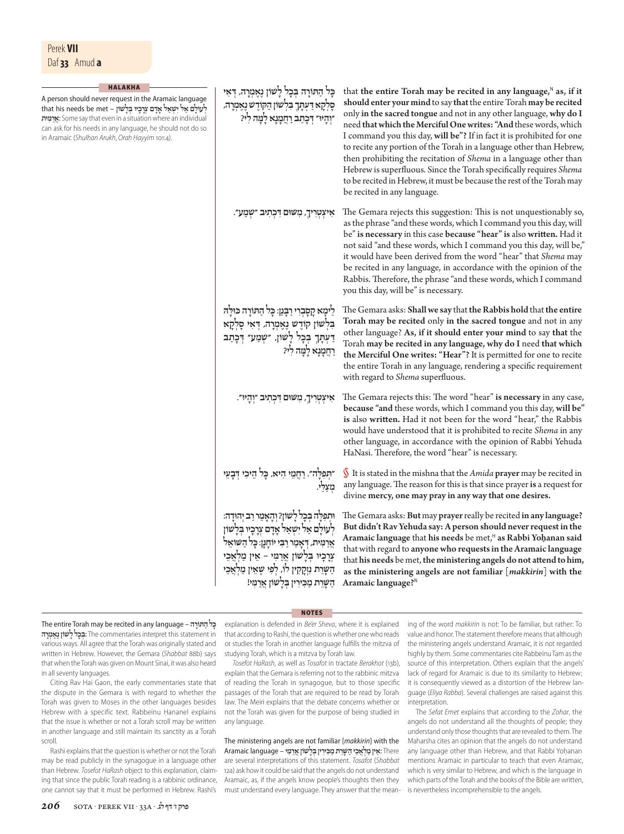| <b>HALAKHA</b>                                                                                                                                                                                                                                                                                              |                                                                                                                                                                          |                                                                                                                                                                                                                                                                                                                                                                                                                                                                                                                                                                                                                                                                                       |
|-------------------------------------------------------------------------------------------------------------------------------------------------------------------------------------------------------------------------------------------------------------------------------------------------------------|--------------------------------------------------------------------------------------------------------------------------------------------------------------------------|---------------------------------------------------------------------------------------------------------------------------------------------------------------------------------------------------------------------------------------------------------------------------------------------------------------------------------------------------------------------------------------------------------------------------------------------------------------------------------------------------------------------------------------------------------------------------------------------------------------------------------------------------------------------------------------|
| A person should never request in the Aramaic language<br>that his needs be met – לְעוֹלַם אֲל אָדָם אִרָבְיו בְּלָשׁוֹן<br>Some say that even in a situation where an individual :אֱרַמֵּית<br>can ask for his needs in any language, he should not do so<br>in Aramaic (Shulhan Arukh, Orah Hayyim 101:4). | כָּל הַתּוֹרָה בְּכָל לָשׁוֹן נֶאֶמְרָה, דְּאִי<br>סָלְקָא דַעְתָּךָ בִּלְשׁוֹן הַקּוֹדֶשׁ נֶאֶמְרָה,<br>יְוְהָיוּ״ דְּבָתַב רַחֲמַנַא לַמַּה לִי?                       | that the entire Torah may be recited in any language, $N$ as, if it<br>should enter your mind to say that the entire Torah may be recited<br>only in the sacred tongue and not in any other language, why do I<br>need that which the Merciful One writes: "And these words, which<br>I command you this day, will be"? If in fact it is prohibited for one<br>to recite any portion of the Torah in a language other than Hebrew,<br>then prohibiting the recitation of Shema in a language other than<br>Hebrew is superfluous. Since the Torah specifically requires Shema<br>to be recited in Hebrew, it must be because the rest of the Torah may<br>be recited in any language. |
|                                                                                                                                                                                                                                                                                                             |                                                                                                                                                                          | The Gemara rejects this suggestion: This is not unquestionably so,<br>as the phrase "and these words, which I command you this day, will<br>be" is necessary in this case because "hear" is also written. Had it<br>not said "and these words, which I command you this day, will be,"<br>it would have been derived from the word "hear" that Shema may<br>be recited in any language, in accordance with the opinion of the<br>Rabbis. Therefore, the phrase "and these words, which I command<br>you this day, will be" is necessary.                                                                                                                                              |
|                                                                                                                                                                                                                                                                                                             | לֵימַא קַסַבְרִי רַבְּנַן: כַּל הַתּוֹרַה כּוּלַה<br>בִּלְשׁוֹן קוֹדֵשׁ נֵאֱמְרָה, דְּאִי סַלְקָא<br>דַעְתָךְ בְּכָל לְשׁוֹן, "שִׁמַע" דִּכְתַב<br>רַחֲמָנָא לַמַּה לִי? | The Gemara asks: Shall we say that the Rabbis hold that the entire<br>Torah may be recited only in the sacred tongue and not in any<br>other language? As, if it should enter your mind to say that the<br>Torah may be recited in any language, why do I need that which<br>the Merciful One writes: "Hear"? It is permitted for one to recite<br>the entire Torah in any language, rendering a specific requirement<br>with regard to Shema superfluous.                                                                                                                                                                                                                            |
|                                                                                                                                                                                                                                                                                                             | משום דכתיב ״והיו״.<br>אִיצְטִרִי                                                                                                                                         | The Gemara rejects this: The word "hear" is necessary in any case,<br>because "and these words, which I command you this day, will be"<br>is also written. Had it not been for the word "hear," the Rabbis<br>would have understood that it is prohibited to recite Shema in any<br>other language, in accordance with the opinion of Rabbi Yehuda<br>HaNasi. Therefore, the word "hear" is necessary.                                                                                                                                                                                                                                                                                |
|                                                                                                                                                                                                                                                                                                             | רַחֲמֵי הִיא, כַּל הֵיכִי דִּבָעֵי<br>מצלי                                                                                                                               | $\int$ It is stated in the mishna that the Amida prayer may be recited in<br>any language. The reason for this is that since prayer is a request for<br>divine mercy, one may pray in any way that one desires.                                                                                                                                                                                                                                                                                                                                                                                                                                                                       |
|                                                                                                                                                                                                                                                                                                             | ותפלה בכי<br>לעולם אל<br>ישאל אדם צרכיו בלשון<br>צְרָכָיו בְּלַשׁוֹן אֲרַמִּי – אֵין מלאכי                                                                               | The Gemara asks: But may prayer really be recited in any language?<br>But didn't Rav Yehuda say: A person should never request in the<br>Aramaic language that his needs be met, <sup>H</sup> as Rabbi Yohanan said<br>that with regard to anyone who requests in the Aramaic language<br>that his needs be met, the ministering angels do not attend to him,                                                                                                                                                                                                                                                                                                                         |

**NOTES**

**ַהָּׁשֵרת ִנְזָק ִקין לוֹ, ְל ִפי ֶׁשֵאין ַמְלֲאֵכי ּכ ִירין ְּבָל ׁשוֹן ֲאַרִּמי! ַהָּׁשֵרת ַמ ִ**

**Aramaic language?**<sup>N</sup>

 The entire Torah may be recited in any language – **וֹרהָתּ הַ כלָּ** in statement this interpret commentaries The : **ְּבָכל ָל ׁשוֹן ֶנֶא ְמָרה** various ways. All agree that the Torah was originally stated and written in Hebrew. However, the Gemara (*Shabbat* 88b) says that when the Torah was given on Mount Sinai, it was also heard in all seventy languages.

Citing Rav Hai Gaon, the early commentaries state that the dispute in the Gemara is with regard to whether the Torah was given to Moses in the other languages besides Hebrew with a specific text. Rabbeinu Ḥananel explains that the issue is whether or not a Torah scroll may be written in another language and still maintain its sanctity as a Torah scroll*.*

Rashi explains that the question is whether or not the Torah may be read publicly in the synagogue in a language other than Hebrew. *Tosefot HaRash* object to this explanation, claiming that since the public Torah reading is a rabbinic ordinance, one cannot say that it must be performed in Hebrew. Rashi's explanation is defended in *Be'er Sheva*, where it is explained that according to Rashi, the question is whether one who reads or studies the Torah in another language fulfills the mitzva of studying Torah, which is a mitzva by Torah law.

*Tosefot HaRash*, as well as *Tosafot* in tractate *Berakhot* (13b), explain that the Gemara is referring not to the rabbinic mitzva of reading the Torah in synagogue, but to those specific passages of the Torah that are required to be read by Torah law. The Meiri explains that the debate concerns whether or not the Torah was given for the purpose of being studied in any language.

 The ministering angels are not familiar [*makkirin*] with the **ּכ ִירין ְּבָל ׁשוֹןֲאַרִּמי** – language Aramaic There **ֵ**:**אין ַמְלֲאֵכי ַהָּׁשֵרת ַמ ִ** are several interpretations of this statement. *Tosafot* (*Shabbat* 12a) ask how it could be said that the angels do not understand Aramaic, as, if the angels know people's thoughts then they must understand every language. They answer that the meaning of the word *makkirin* is not: To be familiar, but rather: To value and honor. The statement therefore means that although the ministering angels understand Aramaic, it is not regarded highly by them. Some commentaries cite Rabbeinu Tam as the source of this interpretation. Others explain that the angels' lack of regard for Aramaic is due to its similarity to Hebrew; it is consequently viewed as a distortion of the Hebrew language (*Eliya Rabba*). Several challenges are raised against this interpretation.

**as the ministering angels are not familiar [***makkirin***] with the** 

The *Sefat Emet* explains that according to the *Zohar*, the angels do not understand all the thoughts of people; they understand only those thoughts that are revealed to them. The Maharsha cites an opinion that the angels do not understand any language other than Hebrew, and that Rabbi Yoĥanan mentions Aramaic in particular to teach that even Aramaic, which is very similar to Hebrew, and which is the language in which parts of the Torah and the books of the Bible are written, is nevertheless incomprehensible to the angels.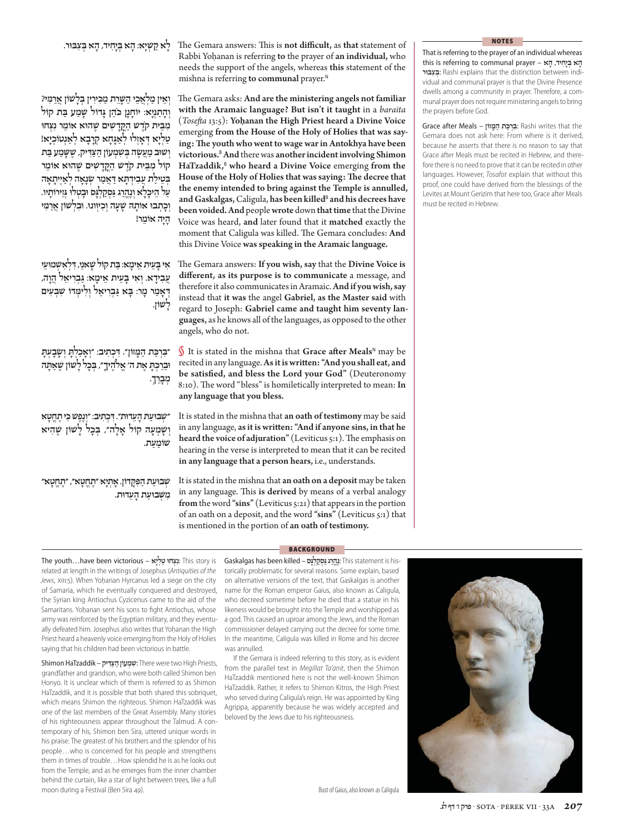| לָא קַשְׁיָא: הָא בְּיָחִיד, הָא בִּצְבּוּר.                                                               | The Gemara answers: This is not difficult, as that statement of              | <b>NOTES</b>                                                                                                           |
|------------------------------------------------------------------------------------------------------------|------------------------------------------------------------------------------|------------------------------------------------------------------------------------------------------------------------|
|                                                                                                            | Rabbi Yoḥanan is referring to the prayer of an individual, who               | That is referring to the prayer of an individual whereas                                                               |
|                                                                                                            | needs the support of the angels, whereas this statement of the               | this is referring to communal prayer – הָא בִּיָחִיד, הָא                                                              |
|                                                                                                            | mishna is referring to communal prayer. <sup>N</sup>                         | בִצְבּוּר: Rashi explains that the distinction between indi-<br>vidual and communal prayer is that the Divine Presence |
|                                                                                                            |                                                                              | dwells among a community in prayer. Therefore, a com-                                                                  |
| וְאֵין מַלְאֲכֵי הַשָּׁרֵת מַכִּירִין בְּלַשׁוֹן אֲרַמִּי?                                                 | The Gemara asks: And are the ministering angels not familiar                 | munal prayer does not require ministering angels to bring                                                              |
| וְהָתַנְיָא: יוֹחָנָן כֹּהֵן גָּדוֹל שָׁמַע בַּת קוֹל<br>מִבִּית קֹדֵשׁ הַקֲדָשִׁים שֶׁהוּא אוֹמֵר נִצְחוּ | with the Aramaic language? But isn't it taught in a baraita                  | the prayers before God.                                                                                                |
|                                                                                                            | (Tosefta 13:5): Yohanan the High Priest heard a Divine Voice                 | Grace after Meals - בְּרְכָּת הָמֵוֹן - Rashi writes that the                                                          |
| טַלְיָא דְּאָזְלוּ לְאַנְּחָא קְרָבָא לְאַנְטוֹּבְיָא!                                                     | emerging from the House of the Holy of Holies that was say-                  | Gemara does not ask here: From where is it derived,                                                                    |
|                                                                                                            | ing: The youth who went to wage war in Antokhya have been                    | because he asserts that there is no reason to say that                                                                 |
| וְשׁוּב מַעֲשֶׂה בְּשְׁמְעוֹן הַצַּדִּיק, שֵׁשֲּׁמַע בַּת                                                  | victorious. <sup>8</sup> And there was another incident involving Shimon     | Grace after Meals must be recited in Hebrew, and there-                                                                |
| קול מִבֵּית קֹדֵשׁ הַקֲדָשִׁים שֵׁהוּא אוֹמֵר                                                              | HaTzaddik, <sup>8</sup> who heard a Divine Voice emerging from the           | fore there is no need to prove that it can be recited in other                                                         |
| בְּטֵילַת עֲבִידְתָּא דָּאֲמַר שְׂנַאַה לְאַיִּתְאָה                                                       | House of the Holy of Holies that was saying: The decree that                 | languages. However, Tosafot explain that without this                                                                  |
| עַל הֵיכָלָא וְנֶהֱיַג גַּסְקַלְגָּם וּבָטְלוּ גְּזֵירוֹתֵיו.                                              | the enemy intended to bring against the Temple is annulled,                  | proof, one could have derived from the blessings of the<br>Levites at Mount Gerizim that here too, Grace after Meals   |
|                                                                                                            | and Gaskalgas, Caligula, has been killed <sup>8</sup> and his decrees have   | must be recited in Hebrew.                                                                                             |
| וְכַתְבוּ אוֹתָהּ שָׁעָה וְכִיוּונוּ. וּבִלְשׁוֹן אֲרַמִּי                                                 | been voided. And people wrote down that time that the Divine                 |                                                                                                                        |
| הָיָה אוֹמֵר!                                                                                              | Voice was heard, and later found that it matched exactly the                 |                                                                                                                        |
|                                                                                                            | moment that Caligula was killed. The Gemara concludes: And                   |                                                                                                                        |
|                                                                                                            | this Divine Voice was speaking in the Aramaic language.                      |                                                                                                                        |
|                                                                                                            |                                                                              |                                                                                                                        |
| אִי בַּעֵית אֵימַא: בַּת קוֹל שַׁאנֵי, דְּלְאִשְׁמוּעֵי                                                    | The Gemara answers: If you wish, say that the Divine Voice is                |                                                                                                                        |
| ַעֲבִידָא. וְאִי בָּעֵית אֵימָא: גַּבְרִיאֵל הֲוָה,                                                        | different, as its purpose is to communicate a message, and                   |                                                                                                                        |
| דְאָמַר מָר: בָּא גַּבְרִיאֵל וְלִימִדוּ שִׁבְעִים                                                         | therefore it also communicates in Aramaic. And if you wish, say              |                                                                                                                        |
| לשון.                                                                                                      | instead that it was the angel Gabriel, as the Master said with               |                                                                                                                        |
|                                                                                                            | regard to Joseph: Gabriel came and taught him seventy lan-                   |                                                                                                                        |
|                                                                                                            | guages, as he knows all of the languages, as opposed to the other            |                                                                                                                        |
|                                                                                                            | angels, who do not.                                                          |                                                                                                                        |
| ״ִבְרְכַּת הַמָּזוֹן״. דִּכְתִיב: ״וְאָכַלְתָּ וְשָׂבָעְתָ                                                 | $\int$ It is stated in the mishna that Grace after Meals <sup>N</sup> may be |                                                                                                                        |
| וּבֵרַכְתָּ אֶת ה׳ אֱלֹהֶיךָ״, בְּכָל לְשׁוֹן שֶׁאַתָּה                                                    | recited in any language. As it is written: "And you shall eat, and           |                                                                                                                        |
|                                                                                                            | be satisfied, and bless the Lord your God" (Deuteronomy                      |                                                                                                                        |
| מִבְרֵךָ.                                                                                                  | 8:10). The word "bless" is homiletically interpreted to mean: In             |                                                                                                                        |
|                                                                                                            | any language that you bless.                                                 |                                                                                                                        |
|                                                                                                            |                                                                              |                                                                                                                        |
| "שבועת העדות". דכתיב: "ונפש כי תחטא                                                                        | It is stated in the mishna that an oath of testimony may be said             |                                                                                                                        |
| וְשָׁמְעָה קוֹל אָלָה", בְּבָל לָשׁוֹן שֶׁהִיא                                                             | in any language, as it is written: "And if anyone sins, in that he           |                                                                                                                        |
|                                                                                                            | heard the voice of adjuration" (Leviticus 5:1). The emphasis on              |                                                                                                                        |
| שומַעַת.                                                                                                   | hearing in the verse is interpreted to mean that it can be recited           |                                                                                                                        |
|                                                                                                            | in any language that a person hears, i.e., understands.                      |                                                                                                                        |
|                                                                                                            |                                                                              |                                                                                                                        |
| שְׁבוּעַת הַפִּקְדוֹן. אָתְיָא ״הֶחֱטָא״, ״הֶחֱטָא״                                                        | It is stated in the mishna that an oath on a deposit may be taken            |                                                                                                                        |
| מִשְּׁבוּעַת הָעֲדוּת.                                                                                     | in any language. This is derived by means of a verbal analogy                |                                                                                                                        |
|                                                                                                            | from the word "sins" (Leviticus $5:21$ ) that appears in the portion         |                                                                                                                        |
|                                                                                                            | of an oath on a deposit, and the word "sins" (Leviticus 5:1) that            |                                                                                                                        |
|                                                                                                            | is mentioned in the portion of an oath of testimony.                         |                                                                                                                        |

## **BACKGROUND**

 The youth…have been victorious – **יאָלְ טַ חוּ ְצּ נִ**: This story is related at length in the writings of Josephus (*Antiquities of the Jews*, XIII:5). When Yoĥanan Hyrcanus led a siege on the city of Samaria, which he eventually conquered and destroyed, the Syrian king Antiochus Cyzicenus came to the aid of the Samaritans. Yoĥanan sent his sons to fight Antiochus, whose army was reinforced by the Egyptian military, and they eventually defeated him. Josephus also writes that Yoĥanan the High Priest heard a heavenly voice emerging from the Holy of Holies saying that his children had been victorious in battle.

 Shimon HaTzaddik – **דיקּ ִצַּהַ מעוֹןְשִ ׁ** : There were two High Priests, grandfather and grandson, who were both called Shimon ben Honyo. It is unclear which of them is referred to as Shimon HaTzaddik, and it is possible that both shared this sobriquet, which means Shimon the righteous. Shimon HaTzaddik was one of the last members of the Great Assembly. Many stories of his righteousness appear throughout the Talmud. A contemporary of his, Shimon ben Sira, uttered unique words in his praise: The greatest of his brothers and the splendor of his people…who is concerned for his people and strengthens them in times of trouble…How splendid he is as he looks out from the Temple, and as he emerges from the inner chamber behind the curtain, like a star of light between trees, like a full moon during a Festival (Ben Sira 49).

 Gaskalgas has been killed – **גסָּלְקַסְגַּרגַהֱנֶ**: This statement is historically problematic for several reasons. Some explain, based on alternative versions of the text, that Gaskalgas is another name for the Roman emperor Gaius, also known as Caligula, who decreed sometime before he died that a statue in his likeness would be brought into the Temple and worshipped as a god. This caused an uproar among the Jews, and the Roman commissioner delayed carrying out the decree for some time. In the meantime, Caligula was killed in Rome and his decree was annulled.

If the Gemara is indeed referring to this story, as is evident from the parallel text in *Megillat Ta'anit*, then the Shimon HaTzaddik mentioned here is not the well-known Shimon HaTzaddik. Rather, it refers to Shimon Kitros, the High Priest who served during Caligula's reign. He was appointed by King Agrippa, apparently because he was widely accepted and beloved by the Jews due to his righteousness.

Bust of Gaius, also known as Caligula

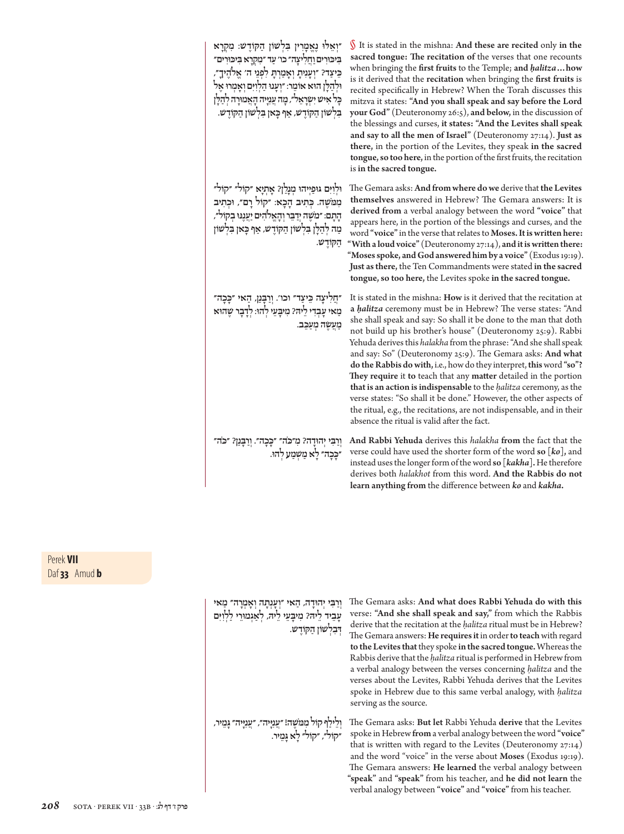| יִיְאֵלוּ נֵאֱמַרִין בְּלְשׁוֹן הַקּוֹדֵשׁ: מִקְרַא<br>בִּיכּוּרִים וַחֲלִיצַה״ כו׳ עַד ״מְקְרַא בִּיכּוּרִים״<br>ְכֵיצַד? ״וְעָנִיתָ וְאָמַרְתָּ לְפְנֵי ה׳ אֱלֹהֶיךָ״,<br>וּלְהַלָּן הוּא אוֹמֵר: ״וְעָנוּ הַלְוִיִם וְאָמְרוּ אֶל<br>כָּל אִישׁ יִשְׂרָאֵל", מָה עֲגִיּה הָאֲמוּרָה לְהַלָּן<br>בִּלְשׁוֹן הַקּוֹדֵשׁ, אַף כַּאן בִּלְשׁוֹן הַקּוֹדֵשׁ. | $\int$ It is stated in the mishna: And these are recited only in the<br>sacred tongue: The recitation of the verses that one recounts<br>when bringing the first fruits to the Temple; and halitza how<br>is it derived that the recitation when bringing the first fruits is<br>recited specifically in Hebrew? When the Torah discusses this<br>mitzva it states: "And you shall speak and say before the Lord<br>your God" (Deuteronomy 26:5), and below, in the discussion of<br>the blessings and curses, it states: "And the Levites shall speak<br>and say to all the men of Israel" (Deuteronomy $27:14$ ). Just as<br>there, in the portion of the Levites, they speak in the sacred<br>tongue, so too here, in the portion of the first fruits, the recitation<br>is in the sacred tongue.                        |
|------------------------------------------------------------------------------------------------------------------------------------------------------------------------------------------------------------------------------------------------------------------------------------------------------------------------------------------------------------|-----------------------------------------------------------------------------------------------------------------------------------------------------------------------------------------------------------------------------------------------------------------------------------------------------------------------------------------------------------------------------------------------------------------------------------------------------------------------------------------------------------------------------------------------------------------------------------------------------------------------------------------------------------------------------------------------------------------------------------------------------------------------------------------------------------------------------|
| וּלְוָיִם גּוּפַיִיהוּ מִנְלַן? אָתִיָא ״קוֹל״ ״קוֹל״<br>מִמֹּשֶׁה. כִּתִּיב הָכָא: "קוֹל רָם", וּכְתִיב<br>הָתָם: ״מֹשֶׁה יִדַּבֵּר וְהָאֱלֹהִים יַעֲנֶנּוּ בְקוֹלֹ״,<br>מַה לְהַלַן בִּלְשׁוֹן הַקוֹדֶשׁ, אַף כָּאן בִּלְשׁוֹן<br>הַקּוֹדֵשׁ.                                                                                                            | The Gemara asks: And from where do we derive that the Levites<br>themselves answered in Hebrew? The Gemara answers: It is<br>derived from a verbal analogy between the word "voice" that<br>appears here, in the portion of the blessings and curses, and the<br>word "voice" in the verse that relates to Moses. It is written here:<br>"With a loud voice" (Deuteronomy $27:14$ ), and it is written there:<br>"Moses spoke, and God answered him by a voice" (Exodus 19:19).<br>Just as there, the Ten Commandments were stated in the sacred<br>tongue, so too here, the Levites spoke in the sacred tongue.                                                                                                                                                                                                            |
| ״חֲלִיצָה כֵּיצַד״ וכו׳. וְרַבְּנַן, הַאי ״כָּכָה״<br>מַאי עָבְדִי לֵיהִ? מִיבָּעֵי לְהוּ: לְדָבָר שֶׁהוּא<br>מַעֲשֶׂה מְעַבֵּב.                                                                                                                                                                                                                           | It is stated in the mishna: How is it derived that the recitation at<br>a halitza ceremony must be in Hebrew? The verse states: "And<br>she shall speak and say: So shall it be done to the man that doth<br>not build up his brother's house" (Deuteronomy 25:9). Rabbi<br>Yehuda derives this halakha from the phrase: "And she shall speak<br>and say: So" (Deuteronomy 25:9). The Gemara asks: And what<br>do the Rabbis do with, i.e., how do they interpret, this word "so"?<br>They require it to teach that any matter detailed in the portion<br>that is an action is indispensable to the halitza ceremony, as the<br>verse states: "So shall it be done." However, the other aspects of<br>the ritual, e.g., the recitations, are not indispensable, and in their<br>absence the ritual is valid after the fact. |
| וִרַבִּי יְהוּדָה? מִ״כֹּה״ ״כְּכָה״. וְרַבְּנַן? ״כּה״<br>״בָּבָה״ לָא מַשְׁמַע לְהוּ.                                                                                                                                                                                                                                                                    | And Rabbi Yehuda derives this halakha from the fact that the<br>verse could have used the shorter form of the word so $[ko]$ , and<br>instead uses the longer form of the word so [kakha]. He therefore<br>derives both halakhot from this word. And the Rabbis do not                                                                                                                                                                                                                                                                                                                                                                                                                                                                                                                                                      |

Perek **VII** Daf **33** Amud **b**

| וְרַבִּי יְהוּדָה, הַאי ״וְעָנְתָה וְאָמְרֶה״ מַּאי<br>עָבִיךְ לֵיה? מִיבָּעֵי לֵיהּ, לְאַגְמוּרֵי לַלְוָיִם<br>דִּבְלְשׁוֹן הַקּוּדָש. | The Gemara asks: And what does Rabbi Yehuda do with this<br>verse: "And she shall speak and say," from which the Rabbis<br>derive that the recitation at the <i>halitza</i> ritual must be in Hebrew?<br>The Gemara answers: He requires it in order to teach with regard<br>to the Levites that they spoke in the sacred tongue. Whereas the<br>Rabbis derive that the halitza ritual is performed in Hebrew from<br>a verbal analogy between the verses concerning halitza and the<br>verses about the Levites, Rabbi Yehuda derives that the Levites<br>spoke in Hebrew due to this same verbal analogy, with <i>halitza</i><br>serving as the source. |
|-----------------------------------------------------------------------------------------------------------------------------------------|-----------------------------------------------------------------------------------------------------------------------------------------------------------------------------------------------------------------------------------------------------------------------------------------------------------------------------------------------------------------------------------------------------------------------------------------------------------------------------------------------------------------------------------------------------------------------------------------------------------------------------------------------------------|
| וְלֵילַף קוֹל מִמֹשֶׁה! ״עֲנַיָּה״, ״עֲנִיָּה״ גָּמֵיר,<br>״קוֹל״, ״קוֹל״ לָא גַּמֵיר.                                                  | The Gemara asks: But let Rabbi Yehuda derive that the Levites<br>spoke in Hebrew from a verbal analogy between the word "voice"<br>that is written with regard to the Levites (Deuteronomy 27:14)<br>and the word "voice" in the verse about Moses (Exodus 19:19).<br>The Gemara answers: He learned the verbal analogy between<br>"speak" and "speak" from his teacher, and he did not learn the<br>verbal analogy between "voice" and "voice" from his teacher.                                                                                                                                                                                         |

learn anything from the difference between *ko* and *kakha*.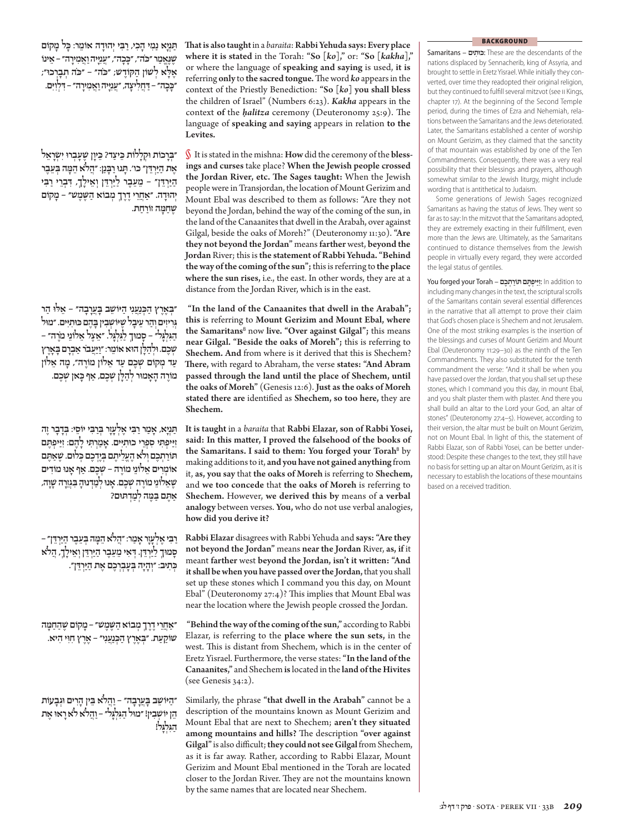## **BACKGROUND**

**ּכל ָמקוֹם ַּתְנָיא ַנִמי ָה ִכי, ַרִּבי ְי ּהוָדה ֵאוֹמר: ָ ּ״כָכה״, ֲ״עִנָיּיהַוֲא ִמָירה״ – ֵאינוֹ ֶׁשֶּנֱאַמר ּ״כֹה״, ָ ֶאָּלא ְל ׁשוֹן ַה ּק ֶוֹד ׁש; ּ״כֹה״ – ּ״כֹה ְתָבְר ּכו״; ּ״כָכה״ – ַּדֲחִל ָיצה, ֲ״עִנָיּיהַוֲא ִמָירה״ – ִ ּד ְלִוִיּם. ָ**

**ּכָיון ֶׁשָע ְב ּרו ִי ְׂשָרֵאל ּכ ַיצד? ֵ ְּ״בָרכוֹת ּו ְקָללוֹת ֵ ֶאת ַהַיְּרֵּדן״ כו'. ָּת ּנוַרָּבַנן: ֲ״הלֹא ֵה ָּמה ְּבֵעֶבר ַהַיְּרֵּדן״ – ֵמֵעֶבר ַלַיְּרֵּדן ְוֵא ָיל ְך, ִ ּד ְבֵרי ַרִּבי ְי ּהוָדה. ַ״אֲחֵרי ֶדֶרְך ְמבוֹא ַהֶּׁשֶמׁש״ – ָמקוֹם ֶׁשַח ָּמה ַזוֹרַחת.**

**ּכַנֲעִני ַה ֵׁ יּוֹשב ָּבֲעָרָבה״ – ֵא ּלּו ַהר ְּ״בֶאֶרץ ַה ְ ְּגִר ִיזים ְוַהר ֵע ָיבל ֶׁש ׁ ְ יּוֹשִבין ָּבֶהם ּכּו ִתִיּים. ּ ״מול ַהִּגְלָּגל״ – ָס ּמו ְך ַלִּגְלָּגל. ֵ״אֶצל ֵא ֵלוֹני מֶֹרה״ – ׁ ְשֶכם. ּוְלַהָּלן ּהוא ֵאוֹמר: ַ״וַיֲּעבֹר ַא ְבָרם ָּבָאֶרץ ַעד ְמקוֹם ׁ ְשֶכם ַעד ֵאלוֹן ֶמוֹרה״, ָמה ֵאלוֹן ּכאן ׁ ְשֶכם. ֶמוֹרה ָהָא ּמור ְלַהָּלן ׁ ְשֶכם, ַאף ָ**

**ַּתְנָיא, ָאַמרַרִּבי ֶאְלָעָזר ְּבַרִּבי ֵ יוֹסי: ְּבָדָברֶזה ִזַיּ ְיפ ִּתי ִס ְפֵרי ּכו ִתִיּים. ָאַמְרִּתי ָלֶהם: ִזַיּ ְיפ ֶּתם ּכ ּלום. ֶׁשַא ֶּתם ּתַוֹרְתֶכם ְולֹא ֶהֱעֵל ֶיתם ְּבֶיְדֶכם ְ ְאוֹמִרים ֵא ֵלוֹני ֶמוֹרה – ׁ ְשֶכם. ַאף ָא ּנו ִמוֹדים ֶׁשֵא ֵלוֹני ֶמוֹרה ׁ ְשֶכם. ָא ּנו ְלַמְד ּנוָה ִּבְגֵזָרה ָׁשָוה, ַא ֶּתם ַּב ֶּמה ְלַמְד ּתּום?**

**ַרִּבי ֶאְלָעָזר ָאַמר: ֲ״הלֹא ֵה ָּמה ְּבֵעֶבר ַהַיְּרֵּדן״ – ָס ּמו ְך ַלַיְּרֵּדן. ְ ּד ִאי ֵמֵעֶבר ַהַיְּרֵּדן ְוֵא ָיל ְך, ֲהלֹא ּכ ִתיב: ְ״וָהָיה ְּבָע ְבְרֶכם ֶאת ַהַיְּרֵּדן״. ְ**

**ַ״אֲחֵריֶדֶרְך ְמבוֹא ַהֶּׁשֶמׁש״ – ָמקוֹם ֶׁשַהַח ָּמה ּכַנֲעִני״ – ֶאֶרץ ִחִּוי ִהיא. ׁש ַוֹקַעת. ְּ״בֶאֶרץ ַה ְ**

**ַ״ה ֵׁ יּוֹשב ָּבֲעָרָבה״ – ַוֲהלֹא ֵּבין ָהִרים ּוְגָבעוֹת ֵהן ׁ ְ יוֹשִבין! ּ ״מול ַהִּגְלָּגל״ – ַוֲהלֹא לֹאָר ּאו ֶאת ַהִּגְלָּגל!** **Th at is also taught** in a *baraita*: **Rabbi Yehuda says: Every place where it is stated** in the Torah: **"So [***ko***],"** or: **"So [***kakha***],"**  or where the language of **speaking and saying** is used, **it is**  referring only to the sacred tongue. The word *ko* appears in the context of the Priestly Benediction: **"So [***ko***] you shall bless**  the children of Israel" (Numbers 6:23). *Kakha* appears in the context of the *halitza* ceremony (Deuteronomy 25:9). The language of **speaking and saying** appears in relation **to the Levites.**

§ It is stated in the mishna: **How** did the ceremony of the **blessings and curses** take place? **When the Jewish people crossed the Jordan River, etc. Th e Sages taught:** When the Jewish people were in Transjordan, the location of Mount Gerizim and Mount Ebal was described to them as follows: "Are they not beyond the Jordan, behind the way of the coming of the sun, in the land of the Canaanites that dwell in the Arabah, over against Gilgal, beside the oaks of Moreh?" (Deuteronomy 11:30). "Are **they not beyond the Jordan"** means **farther** west, **beyond the Jordan** River; this is **the statement of Rabbi Yehuda. "Behind the way of the coming of the sun";** this is referring to **the place where the sun rises,** i.e., the east. In other words, they are at a distance from the Jordan River, which is in the east.

 **"In the land of the Canaanites that dwell in the Arabah"; this** is referring to **Mount Gerizim and Mount Ebal, where**  the Samaritans<sup>B</sup> now live. "Over against Gilgal"; this means **near Gilgal. "Beside the oaks of Moreh";** this is referring to **Shechem. And** from where is it derived that this is Shechem? **Th ere,** with regard to Abraham, the verse **states: "And Abram passed through the land until the place of Shechem, until**  the oaks of Moreh" (Genesis 12:6). Just as the oaks of Moreh stated there are identified as Shechem, so too here, they are **Shechem.**

**It is taught** in a *baraita* that **Rabbi Elazar, son of Rabbi Yosei,**  said: In this matter, I proved the falsehood of the books of the Samaritans. I said to them: You forged your Torah<sup>8</sup> by making additions to it, **and you have not gained anything** from it, **as, you say** that **the oaks of Moreh** is referring to **Shechem,**  and **we too concede** that **the oaks of Moreh** is referring to **Shechem.** However, **we derived this by** means of **a verbal analogy** between verses. **You,** who do not use verbal analogies, **how did you derive it?**

**Rabbi Elazar** disagrees with Rabbi Yehuda and **says: "Are they not beyond the Jordan"** means **near the Jordan** River, **as, if** it meant farther west beyond the Jordan, isn't it written: "And **it shall be when you have passed over the Jordan,** that you shall set up these stones which I command you this day, on Mount Ebal" (Deuteronomy  $27:4$ )? This implies that Mount Ebal was near the location where the Jewish people crossed the Jordan.

 **"Behind the way of the coming of the sun,"** according to Rabbi Elazar, is referring to the **place where the sun sets,** in the west. This is distant from Shechem, which is in the center of Eretz Yisrael. Furthermore, the verse states: **"In the land of the Canaanites,"** and Shechem **is** located in the **land of the Hivites**   $(see Geness 34:2).$ 

Similarly, the phrase **"that dwell in the Arabah"** cannot be a description of the mountains known as Mount Gerizim and Mount Ebal that are next to Shechem; **aren't they situated**  among mountains and hills? The description "over against Gilgal" is also difficult; they could not see Gilgal from Shechem, as it is far away. Rather, according to Rabbi Elazar, Mount Gerizim and Mount Ebal mentioned in the Torah are located closer to the Jordan River. They are not the mountains known by the same names that are located near Shechem.

 Samaritans – **תיםִ וּכּ** : These are the descendants of the nations displaced by Sennacherib, king of Assyria, and brought to settle in Eretz Yisrael. While initially they converted, over time they readopted their original religion, but they continued to fulfill several mitzvot (see II Kings, chapter 17). At the beginning of the Second Temple period, during the times of Ezra and Nehemiah, relations between the Samaritans and the Jews deteriorated. Later, the Samaritans established a center of worship on Mount Gerizim, as they claimed that the sanctity of that mountain was established by one of the Ten Commandments. Consequently, there was a very real possibility that their blessings and prayers, although somewhat similar to the Jewish liturgy, might include wording that is antithetical to Judaism.

Some generations of Jewish Sages recognized Samaritans as having the status of Jews. They went so far as to say: In the mitzvot that the Samaritans adopted, they are extremely exacting in their fulfillment, even more than the Jews are. Ultimately, as the Samaritans continued to distance themselves from the Jewish people in virtually every regard, they were accorded the legal status of gentiles.

 to addition In **ִ**:**זַיּ ְיפ ֶּתם ּתַוֹרְתֶכם** – Torah your forged You including many changes in the text, the scriptural scrolls of the Samaritans contain several essential differences in the narrative that all attempt to prove their claim that God's chosen place is Shechem and not Jerusalem. One of the most striking examples is the insertion of the blessings and curses of Mount Gerizim and Mount Ebal (Deuteronomy 11:29–30) as the ninth of the Ten Commandments. They also substituted for the tenth commandment the verse: "And it shall be when you have passed over the Jordan, that you shall set up these stones, which I command you this day, in mount Ebal, and you shalt plaster them with plaster. And there you shall build an altar to the Lord your God, an altar of stones" (Deuteronomy 27:4–5). However, according to their version, the altar must be built on Mount Gerizim, not on Mount Ebal. In light of this, the statement of Rabbi Elazar, son of Rabbi Yosei, can be better understood: Despite these changes to the text, they still have no basis for setting up an altar on Mount Gerizim, as it is necessary to establish the locations of these mountains based on a received tradition.